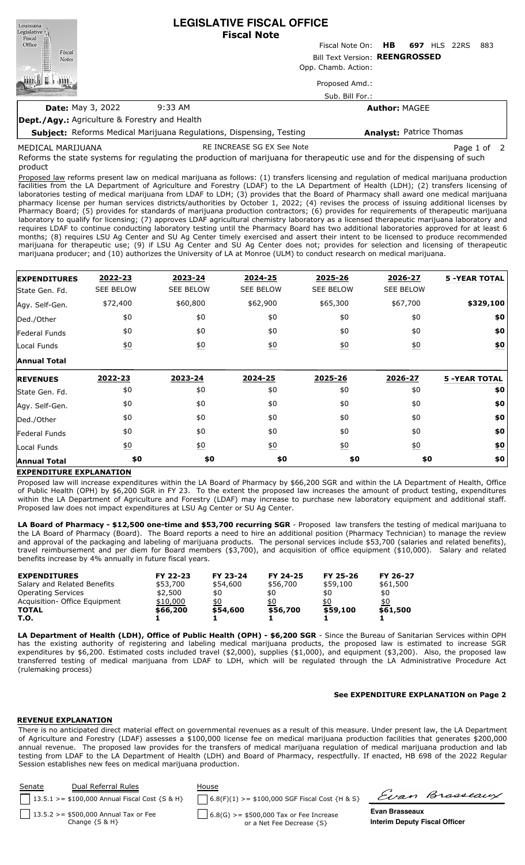| <b>Fiscal Note</b><br>Fiscal<br>Office<br>HB.<br>Fiscal Note On:<br>697<br><b>HLS</b><br>22RS<br>Fiscal<br>Bill Text Version: REENGROSSED<br><b>Notes</b><br>Opp. Chamb. Action: | 883 |  |  |  |  |  |  |  |
|----------------------------------------------------------------------------------------------------------------------------------------------------------------------------------|-----|--|--|--|--|--|--|--|
|                                                                                                                                                                                  |     |  |  |  |  |  |  |  |
|                                                                                                                                                                                  |     |  |  |  |  |  |  |  |
|                                                                                                                                                                                  |     |  |  |  |  |  |  |  |
| Proposed Amd.:                                                                                                                                                                   |     |  |  |  |  |  |  |  |
| Sub. Bill For.:                                                                                                                                                                  |     |  |  |  |  |  |  |  |
| $9:33$ AM<br><b>Date: May 3, 2022</b><br><b>Author: MAGEE</b>                                                                                                                    |     |  |  |  |  |  |  |  |
| <b>Dept./Agy.: Agriculture &amp; Forestry and Health</b>                                                                                                                         |     |  |  |  |  |  |  |  |
| <b>Analyst: Patrice Thomas</b><br><b>Subject:</b> Reforms Medical Marijuana Regulations, Dispensing, Testing                                                                     |     |  |  |  |  |  |  |  |
| RE INCREASE SG EX See Note<br>MEDICAL MARIJUANA<br>Page 1 of 2                                                                                                                   |     |  |  |  |  |  |  |  |

Reforms the state systems for regulating the production of marijuana for therapeutic use and for the dispensing of such product

Proposed law reforms present law on medical marijuana as follows: (1) transfers licensing and regulation of medical marijuana production facilities from the LA Department of Agriculture and Forestry (LDAF) to the LA Department of Health (LDH); (2) transfers licensing of laboratories testing of medical marijuana from LDAF to LDH; (3) provides that the Board of Pharmacy shall award one medical marijuana pharmacy license per human services districts/authorities by October 1, 2022; (4) revises the process of issuing additional licenses by Pharmacy Board; (5) provides for standards of marijuana production contractors; (6) provides for requirements of therapeutic marijuana laboratory to qualify for licensing; (7) approves LDAF agricultural chemistry laboratory as a licensed therapeutic marijuana laboratory and requires LDAF to continue conducting laboratory testing until the Pharmacy Board has two additional laboratories approved for at least 6 months; (8) requires LSU Ag Center and SU Ag Center timely exercised and assert their intent to be licensed to produce recommended marijuana for therapeutic use; (9) if LSU Ag Center and SU Ag Center does not; provides for selection and licensing of therapeutic marijuana producer; and (10) authorizes the University of LA at Monroe (ULM) to conduct research on medical marijuana.

| <b>EXPENDITURES</b>          | 2022-23          | 2023-24          | 2024-25          | 2025-26          | 2026-27          | <b>5 -YEAR TOTAL</b> |
|------------------------------|------------------|------------------|------------------|------------------|------------------|----------------------|
| State Gen. Fd.               | <b>SEE BELOW</b> | <b>SEE BELOW</b> | <b>SEE BELOW</b> | <b>SEE BELOW</b> | <b>SEE BELOW</b> |                      |
| Agy. Self-Gen.               | \$72,400         | \$60,800         | \$62,900         | \$65,300         | \$67,700         | \$329,100            |
| Ded./Other                   | \$0              | \$0              | \$0              | \$0              | \$0              | \$0                  |
| <b>Federal Funds</b>         | \$0              | \$0              | \$0              | \$0              | \$0              | \$0                  |
| Local Funds                  | \$0              | 60               | 60               | 60               | 60               | \$0                  |
| <b>Annual Total</b>          |                  |                  |                  |                  |                  |                      |
| <b>REVENUES</b>              | 2022-23          | 2023-24          | 2024-25          | 2025-26          | 2026-27          | <b>5 -YEAR TOTAL</b> |
| State Gen. Fd.               | \$0              | \$0              | \$0              | \$0              | \$0              | \$0                  |
| Agy. Self-Gen.               | \$0              | \$0              | \$0              | \$0              | \$0              | \$0                  |
| Ded./Other                   | \$0              | \$0              | \$0              | \$0              | \$0              | \$0                  |
|                              |                  |                  |                  |                  |                  |                      |
|                              | \$0              | \$0              | \$0              | \$0              | \$0              | \$0                  |
| Federal Funds<br>Local Funds | $\underline{50}$ | $\underline{50}$ | $\underline{50}$ | $\underline{50}$ | $\underline{50}$ | $\underline{\$0}$    |

# **EXPENDITURE EXPLANATION**

Proposed law will increase expenditures within the LA Board of Pharmacy by \$66,200 SGR and within the LA Department of Health, Office of Public Health (OPH) by \$6,200 SGR in FY 23. To the extent the proposed law increases the amount of product testing, expenditures within the LA Department of Agriculture and Forestry (LDAF) may increase to purchase new laboratory equipment and additional staff. Proposed law does not impact expenditures at LSU Ag Center or SU Ag Center.

**LA Board of Pharmacy - \$12,500 one-time and \$53,700 recurring SGR** - Proposed law transfers the testing of medical marijuana to the LA Board of Pharmacy (Board). The Board reports a need to hire an additional position (Pharmacy Technician) to manage the review and approval of the packaging and labeling of marijuana products. The personal services include \$53,700 (salaries and related benefits), travel reimbursement and per diem for Board members (\$3,700), and acquisition of office equipment (\$10,000). Salary and related benefits increase by 4% annually in future fiscal years.

| <b>EXPENDITURES</b>            | FY 22-23 | FY 23-24 | FY 24-25 | FY 25-26 | FY 26-27 |
|--------------------------------|----------|----------|----------|----------|----------|
| Salary and Related Benefits    | \$53,700 | \$54,600 | \$56,700 | \$59,100 | \$61,500 |
| <b>Operating Services</b>      | \$2,500  | \$0      | \$0      | \$0      | \$0      |
| Acquisition - Office Equipment | \$10,000 | \$0      | \$0      | \$0      | \$0      |
| <b>TOTAL</b>                   | \$66,200 | \$54,600 | \$56,700 | \$59,100 | \$61,500 |
| T.O.                           |          |          |          |          |          |

**LA Department of Health (LDH), Office of Public Health (OPH) - \$6,200 SGR** - Since the Bureau of Sanitarian Services within OPH has the existing authority of registering and labeling medical marijuana products, the proposed law is estimated to increase SGR expenditures by \$6,200. Estimated costs included travel (\$2,000), supplies (\$1,000), and equipment (\$3,200). Also, the proposed law transferred testing of medical marijuana from LDAF to LDH, which will be regulated through the LA Administrative Procedure Act (rulemaking process)

### **See EXPENDITURE EXPLANATION on Page 2**

### **REVENUE EXPLANATION**

There is no anticipated direct material effect on governmental revenues as a result of this measure. Under present law, the LA Department of Agriculture and Forestry (LDAF) assesses a \$100,000 license fee on medical marijuana production facilities that generates \$200,000 annual revenue. The proposed law provides for the transfers of medical marijuana regulation of medical marijuana production and lab testing from LDAF to the LA Department of Health (LDH) and Board of Pharmacy, respectfully. If enacted, HB 698 of the 2022 Regular Session establishes new fees on medical marijuana production.

| Senate | Dual Referral Rules                                           | House                                                                  |                                                        |                |
|--------|---------------------------------------------------------------|------------------------------------------------------------------------|--------------------------------------------------------|----------------|
|        | 13.5.1 > = \$100,000 Annual Fiscal Cost $\{S \& H\}$          | $6.8(F)(1)$ >= \$100,000 SGF Fiscal Cost {H & S}                       |                                                        | Evan Brasseaux |
|        | 13.5.2 > = \$500,000 Annual Tax or Fee<br>Change $\{S \& H\}$ | $6.8(G)$ >= \$500,000 Tax or Fee Increase<br>or a Net Fee Decrease {S} | Evan Brasseaux<br><b>Interim Deputy Fiscal Officer</b> |                |